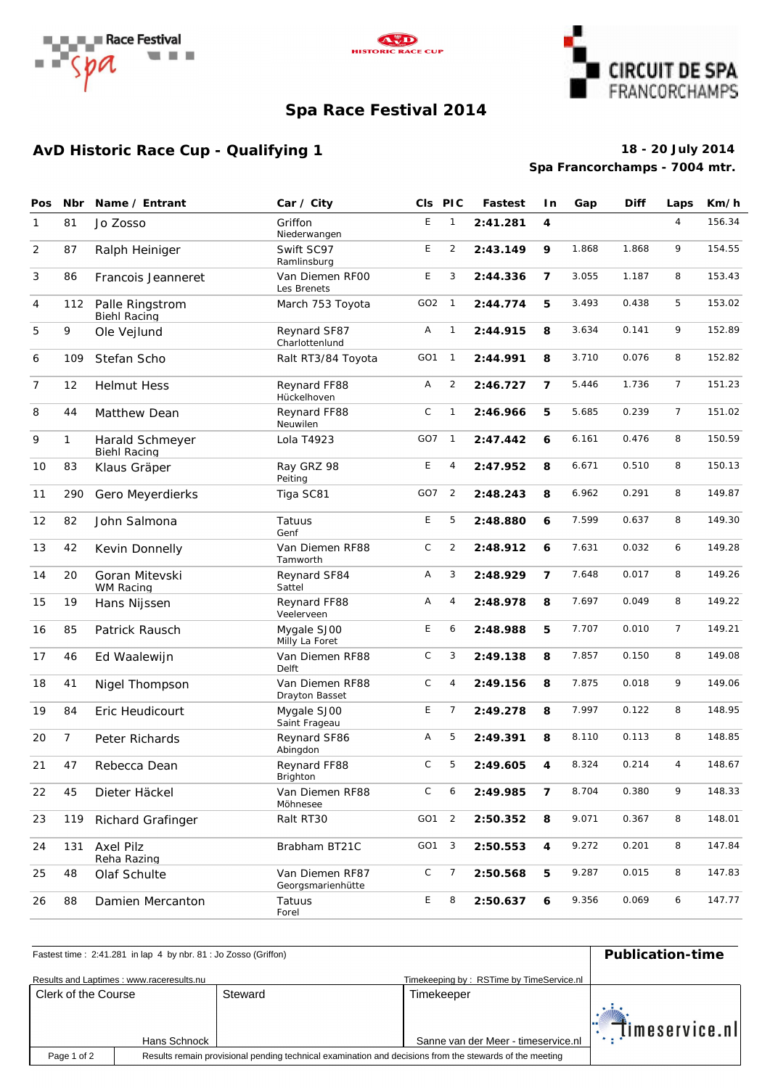





### **Spa Race Festival 2014**

## **AvD Historic Race Cup - Qualifying 1 18 - 20 July 2014**

# **Spa Francorchamps - 7004 mtr.**

| Pos            | <b>Nbr</b>   | Name / Entrant                         | Car / City                           | CIs PIC         |                | Fastest  | l n            | Gap   | <b>Diff</b> | Laps           | Km/h   |
|----------------|--------------|----------------------------------------|--------------------------------------|-----------------|----------------|----------|----------------|-------|-------------|----------------|--------|
| 1              | 81           | Jo Zosso                               | Griffon<br>Niederwangen              | E               | $\mathbf{1}$   | 2:41.281 | 4              |       |             | $\overline{4}$ | 156.34 |
| 2              | 87           | Ralph Heiniger                         | Swift SC97<br>Ramlinsburg            | E               | 2              | 2:43.149 | 9              | 1.868 | 1.868       | 9              | 154.55 |
| 3              | 86           | Francois Jeanneret                     | Van Diemen RFOO<br>Les Brenets       | E               | 3              | 2:44.336 | $\overline{7}$ | 3.055 | 1.187       | 8              | 153.43 |
| 4              | 112          | Palle Ringstrom<br>Biehl Racing        | March 753 Toyota                     | GO <sub>2</sub> | $\overline{1}$ | 2:44.774 | 5              | 3.493 | 0.438       | 5              | 153.02 |
| 5              | 9            | Ole Vejlund                            | Reynard SF87<br>Charlottenlund       | Α               | $\mathbf{1}$   | 2:44.915 | 8              | 3.634 | 0.141       | 9              | 152.89 |
| 6              | 109          | Stefan Scho                            | Ralt RT3/84 Toyota                   | GO <sub>1</sub> | $\overline{1}$ | 2:44.991 | 8              | 3.710 | 0.076       | 8              | 152.82 |
| $\overline{7}$ | 12           | <b>Helmut Hess</b>                     | Reynard FF88<br>Hückelhoven          | Α               | $\overline{2}$ | 2:46.727 | $\overline{7}$ | 5.446 | 1.736       | $\overline{7}$ | 151.23 |
| 8              | 44           | Matthew Dean                           | Reynard FF88<br>Neuwilen             | $\mathsf C$     | $\mathbf{1}$   | 2:46.966 | 5              | 5.685 | 0.239       | $\overline{7}$ | 151.02 |
| 9              | $\mathbf{1}$ | Harald Schmeyer<br><b>Biehl Racing</b> | Lola T4923                           | GO7             | $\overline{1}$ | 2:47.442 | 6              | 6.161 | 0.476       | 8              | 150.59 |
| 10             | 83           | Klaus Gräper                           | Ray GRZ 98<br>Peiting                | E               | 4              | 2:47.952 | 8              | 6.671 | 0.510       | 8              | 150.13 |
| 11             | 290          | Gero Meyerdierks                       | Tiga SC81                            | GO7             | $\overline{2}$ | 2:48.243 | 8              | 6.962 | 0.291       | 8              | 149.87 |
| 12             | 82           | John Salmona                           | Tatuus<br>Genf                       | E               | 5              | 2:48.880 | 6              | 7.599 | 0.637       | 8              | 149.30 |
| 13             | 42           | Kevin Donnelly                         | Van Diemen RF88<br>Tamworth          | $\mathsf C$     | $\overline{2}$ | 2:48.912 | 6              | 7.631 | 0.032       | 6              | 149.28 |
| 14             | 20           | Goran Mitevski<br><b>WM Racing</b>     | Reynard SF84<br>Sattel               | Α               | 3              | 2:48.929 | $\overline{7}$ | 7.648 | 0.017       | 8              | 149.26 |
| 15             | 19           | Hans Nijssen                           | Reynard FF88<br>Veelerveen           | Α               | 4              | 2:48.978 | 8              | 7.697 | 0.049       | 8              | 149.22 |
| 16             | 85           | Patrick Rausch                         | Mygale SJ00<br>Milly La Foret        | E               | 6              | 2:48.988 | 5              | 7.707 | 0.010       | $\overline{7}$ | 149.21 |
| 17             | 46           | Ed Waalewijn                           | Van Diemen RF88<br>Delft             | $\mathsf C$     | 3              | 2:49.138 | 8              | 7.857 | 0.150       | 8              | 149.08 |
| 18             | 41           | Nigel Thompson                         | Van Diemen RF88<br>Drayton Basset    | $\mathsf C$     | 4              | 2:49.156 | 8              | 7.875 | 0.018       | 9              | 149.06 |
| 19             | 84           | Eric Heudicourt                        | Mygale SJ00<br>Saint Frageau         | E               | $\overline{7}$ | 2:49.278 | 8              | 7.997 | 0.122       | 8              | 148.95 |
| 20             | 7            | Peter Richards                         | Reynard SF86<br>Abingdon             | Α               | 5              | 2:49.391 | 8              | 8.110 | 0.113       | 8              | 148.85 |
| 21             | 47           | Rebecca Dean                           | Reynard FF88<br>Brighton             | $\mathsf C$     | 5              | 2:49.605 | 4              | 8.324 | 0.214       | $\overline{4}$ | 148.67 |
| 22             | 45           | Dieter Häckel                          | Van Diemen RF88<br>Möhnesee          | C               | 6              | 2:49.985 | 7              | 8.704 | 0.380       | 9              | 148.33 |
| 23             | 119          | Richard Grafinger                      | Ralt RT30                            | GO1             | $\overline{2}$ | 2:50.352 | 8              | 9.071 | 0.367       | 8              | 148.01 |
| 24             | 131          | Axel Pilz<br>Reha Razing               | Brabham BT21C                        | GO1             | $\overline{3}$ | 2:50.553 | 4              | 9.272 | 0.201       | 8              | 147.84 |
| 25             | 48           | Olaf Schulte                           | Van Diemen RF87<br>Georgsmarienhütte | С               | 7              | 2:50.568 | 5              | 9.287 | 0.015       | 8              | 147.83 |
| 26             | 88           | Damien Mercanton                       | Tatuus<br>Forel                      | E               | 8              | 2:50.637 | 6              | 9.356 | 0.069       | 6              | 147.77 |

### Fastest time : 2:41.281 in lap 4 by nbr. 81 : Jo Zosso (Griffon) **Publication-time** Results and Laptimes : www.raceresults.nu **The Service and Transfer and Transfer and Transfervice.nu** Time keeping by : RSTime by TimeService.nl Clerk of the Course Steward Steward Steward Steward Steward Steward Steward Steward Steward Steward Steward Steward timeservice.nl# .<br>.<br>. Hans Schnock | Sanne van der Meer - timeservice.nl Page 1 of 2Results remain provisional pending technical examination and decisions from the stewards of the meeting